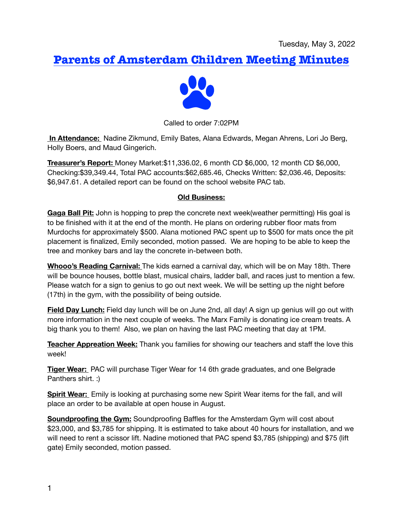# **Parents of Amsterdam Children Meeting Minutes**



Called to order 7:02PM

 **In Attendance:** Nadine Zikmund, Emily Bates, Alana Edwards, Megan Ahrens, Lori Jo Berg, Holly Boers, and Maud Gingerich.

**Treasurer's Report:** Money Market:\$11,336.02, 6 month CD \$6,000, 12 month CD \$6,000, Checking:\$39,349.44, Total PAC accounts:\$62,685.46, Checks Written: \$2,036.46, Deposits: \$6,947.61. A detailed report can be found on the school website PAC tab.

#### **Old Business:**

**Gaga Ball Pit:** John is hopping to prep the concrete next week(weather permitting) His goal is to be finished with it at the end of the month. He plans on ordering rubber floor mats from Murdochs for approximately \$500. Alana motioned PAC spent up to \$500 for mats once the pit placement is finalized, Emily seconded, motion passed. We are hoping to be able to keep the tree and monkey bars and lay the concrete in-between both.

**Whooo's Reading Carnival:** The kids earned a carnival day, which will be on May 18th. There will be bounce houses, bottle blast, musical chairs, ladder ball, and races just to mention a few. Please watch for a sign to genius to go out next week. We will be setting up the night before (17th) in the gym, with the possibility of being outside.

**Field Day Lunch:** Field day lunch will be on June 2nd, all day! A sign up genius will go out with more information in the next couple of weeks. The Marx Family is donating ice cream treats. A big thank you to them! Also, we plan on having the last PAC meeting that day at 1PM.

**Teacher Appreation Week:** Thank you families for showing our teachers and staff the love this week!

**Tiger Wear:** PAC will purchase Tiger Wear for 14 6th grade graduates, and one Belgrade Panthers shirt. :)

**Spirit Wear:** Emily is looking at purchasing some new Spirit Wear items for the fall, and will place an order to be available at open house in August.

**Soundproofing the Gym:** Soundproofing Baffles for the Amsterdam Gym will cost about \$23,000, and \$3,785 for shipping. It is estimated to take about 40 hours for installation, and we will need to rent a scissor lift. Nadine motioned that PAC spend \$3,785 (shipping) and \$75 (lift gate) Emily seconded, motion passed.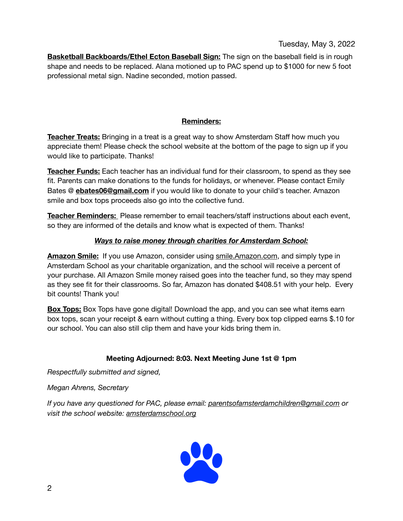**Basketball Backboards/Ethel Ecton Baseball Sign:** The sign on the baseball field is in rough shape and needs to be replaced. Alana motioned up to PAC spend up to \$1000 for new 5 foot professional metal sign. Nadine seconded, motion passed.

## **Reminders:**

**Teacher Treats:** Bringing in a treat is a great way to show Amsterdam Staff how much you appreciate them! Please check the school website at the bottom of the page to sign up if you would like to participate. Thanks!

**Teacher Funds:** Each teacher has an individual fund for their classroom, to spend as they see fit. Parents can make donations to the funds for holidays, or whenever. Please contact Emily Bates @ **[ebates06@gmail.com](mailto:ebates06@gmail.com)** if you would like to donate to your child's teacher. Amazon smile and box tops proceeds also go into the collective fund.

**Teacher Reminders:** Please remember to email teachers/staff instructions about each event, so they are informed of the details and know what is expected of them. Thanks!

### *Ways to raise money through charities for Amsterdam School:*

**Amazon Smile:** If you use Amazon, consider using [smile.Amazon.com,](http://smile.Amazon.com) and simply type in Amsterdam School as your charitable organization, and the school will receive a percent of your purchase. All Amazon Smile money raised goes into the teacher fund, so they may spend as they see fit for their classrooms. So far, Amazon has donated \$408.51 with your help. Every bit counts! Thank you!

**Box Tops:** Box Tops have gone digital! Download the app, and you can see what items earn box tops, scan your receipt & earn without cutting a thing. Every box top clipped earns \$.10 for our school. You can also still clip them and have your kids bring them in.

#### **Meeting Adjourned: 8:03. Next Meeting June 1st @ 1pm**

*Respectfully submitted and signed,* 

*Megan Ahrens, Secretary* 

*If you have any questioned for PAC, please email: [parentsofamsterdamchildren@gmail.com](mailto:parentsofamsterdamchildren@gmail.com) or visit the school website: [amsterdamschool.org](http://amsterdamschool.org)*